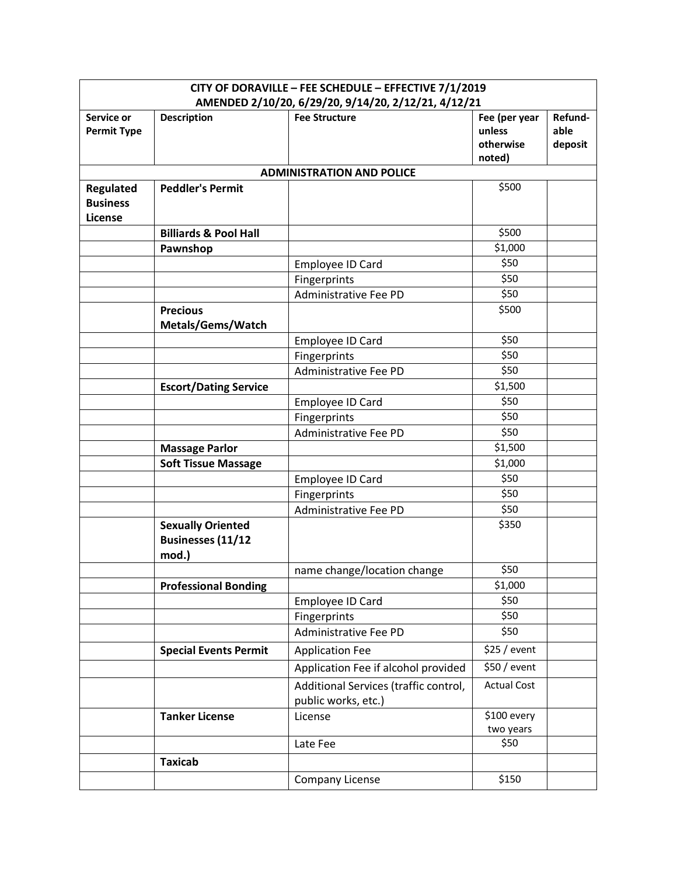| CITY OF DORAVILLE - FEE SCHEDULE - EFFECTIVE 7/1/2019 |                                                      |                                                                             |                     |                 |
|-------------------------------------------------------|------------------------------------------------------|-----------------------------------------------------------------------------|---------------------|-----------------|
| Service or                                            | <b>Description</b>                                   | AMENDED 2/10/20, 6/29/20, 9/14/20, 2/12/21, 4/12/21<br><b>Fee Structure</b> | Fee (per year       | Refund-         |
| <b>Permit Type</b>                                    |                                                      |                                                                             | unless<br>otherwise | able<br>deposit |
|                                                       |                                                      | <b>ADMINISTRATION AND POLICE</b>                                            | noted)              |                 |
| Regulated                                             | <b>Peddler's Permit</b>                              |                                                                             | \$500               |                 |
| <b>Business</b><br>License                            |                                                      |                                                                             |                     |                 |
|                                                       | <b>Billiards &amp; Pool Hall</b>                     |                                                                             | \$500               |                 |
|                                                       | Pawnshop                                             |                                                                             | \$1,000             |                 |
|                                                       |                                                      | Employee ID Card                                                            | \$50                |                 |
|                                                       |                                                      | Fingerprints                                                                | \$50                |                 |
|                                                       |                                                      | Administrative Fee PD                                                       | \$50                |                 |
|                                                       | <b>Precious</b>                                      |                                                                             | \$500               |                 |
|                                                       | Metals/Gems/Watch                                    |                                                                             |                     |                 |
|                                                       |                                                      | Employee ID Card                                                            | \$50                |                 |
|                                                       |                                                      | Fingerprints                                                                | \$50                |                 |
|                                                       |                                                      | Administrative Fee PD                                                       | \$50                |                 |
|                                                       | <b>Escort/Dating Service</b>                         |                                                                             | \$1,500             |                 |
|                                                       |                                                      | Employee ID Card                                                            | \$50                |                 |
|                                                       |                                                      | Fingerprints                                                                | \$50                |                 |
|                                                       |                                                      | Administrative Fee PD                                                       | \$50                |                 |
|                                                       | <b>Massage Parlor</b>                                |                                                                             | \$1,500             |                 |
|                                                       | <b>Soft Tissue Massage</b>                           |                                                                             | \$1,000             |                 |
|                                                       |                                                      | Employee ID Card                                                            | \$50                |                 |
|                                                       |                                                      | Fingerprints                                                                | \$50                |                 |
|                                                       |                                                      | <b>Administrative Fee PD</b>                                                | \$50                |                 |
|                                                       | <b>Sexually Oriented</b><br><b>Businesses (11/12</b> |                                                                             | \$350               |                 |
|                                                       | mod.)                                                |                                                                             | \$50                |                 |
|                                                       | <b>Professional Bonding</b>                          | name change/location change                                                 | \$1,000             |                 |
|                                                       |                                                      | Employee ID Card                                                            | \$50                |                 |
|                                                       |                                                      | Fingerprints                                                                | \$50                |                 |
|                                                       |                                                      | Administrative Fee PD                                                       | \$50                |                 |
|                                                       | <b>Special Events Permit</b>                         | <b>Application Fee</b>                                                      | \$25 / event        |                 |
|                                                       |                                                      |                                                                             | \$50 / event        |                 |
|                                                       |                                                      | Application Fee if alcohol provided                                         |                     |                 |
|                                                       |                                                      | Additional Services (traffic control,<br>public works, etc.)                | <b>Actual Cost</b>  |                 |
|                                                       | <b>Tanker License</b>                                | License                                                                     | \$100 every         |                 |
|                                                       |                                                      |                                                                             | two years           |                 |
|                                                       |                                                      | Late Fee                                                                    | \$50                |                 |
|                                                       | <b>Taxicab</b>                                       |                                                                             |                     |                 |
|                                                       |                                                      | Company License                                                             | \$150               |                 |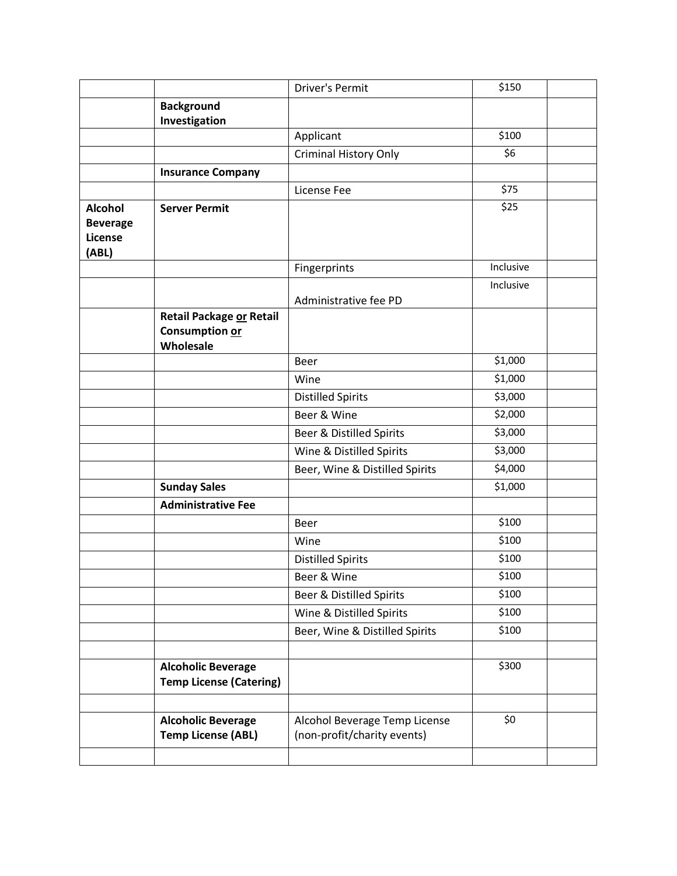|                                                       |                                                             | <b>Driver's Permit</b>                                       | \$150     |  |
|-------------------------------------------------------|-------------------------------------------------------------|--------------------------------------------------------------|-----------|--|
|                                                       | <b>Background</b>                                           |                                                              |           |  |
|                                                       | Investigation                                               |                                                              |           |  |
|                                                       |                                                             | Applicant                                                    | \$100     |  |
|                                                       |                                                             | <b>Criminal History Only</b>                                 | \$6       |  |
|                                                       | <b>Insurance Company</b>                                    |                                                              |           |  |
|                                                       |                                                             | License Fee                                                  | \$75      |  |
| <b>Alcohol</b><br><b>Beverage</b><br>License<br>(ABL) | <b>Server Permit</b>                                        |                                                              | \$25      |  |
|                                                       |                                                             | Fingerprints                                                 | Inclusive |  |
|                                                       |                                                             | Administrative fee PD                                        | Inclusive |  |
|                                                       | Retail Package or Retail<br>Consumption or<br>Wholesale     |                                                              |           |  |
|                                                       |                                                             | Beer                                                         | \$1,000   |  |
|                                                       |                                                             | Wine                                                         | \$1,000   |  |
|                                                       |                                                             | <b>Distilled Spirits</b>                                     | \$3,000   |  |
|                                                       |                                                             | Beer & Wine                                                  | \$2,000   |  |
|                                                       |                                                             | Beer & Distilled Spirits                                     | \$3,000   |  |
|                                                       |                                                             | Wine & Distilled Spirits                                     | \$3,000   |  |
|                                                       |                                                             | Beer, Wine & Distilled Spirits                               | \$4,000   |  |
|                                                       | <b>Sunday Sales</b>                                         |                                                              | \$1,000   |  |
|                                                       | <b>Administrative Fee</b>                                   |                                                              |           |  |
|                                                       |                                                             | Beer                                                         | \$100     |  |
|                                                       |                                                             | Wine                                                         | \$100     |  |
|                                                       |                                                             | <b>Distilled Spirits</b>                                     | \$100     |  |
|                                                       |                                                             | Beer & Wine                                                  | \$100     |  |
|                                                       |                                                             | Beer & Distilled Spirits                                     | \$100     |  |
|                                                       |                                                             | Wine & Distilled Spirits                                     | \$100     |  |
|                                                       |                                                             | Beer, Wine & Distilled Spirits                               | \$100     |  |
|                                                       |                                                             |                                                              |           |  |
|                                                       | <b>Alcoholic Beverage</b><br><b>Temp License (Catering)</b> |                                                              | \$300     |  |
|                                                       | <b>Alcoholic Beverage</b><br><b>Temp License (ABL)</b>      | Alcohol Beverage Temp License<br>(non-profit/charity events) | \$0       |  |
|                                                       |                                                             |                                                              |           |  |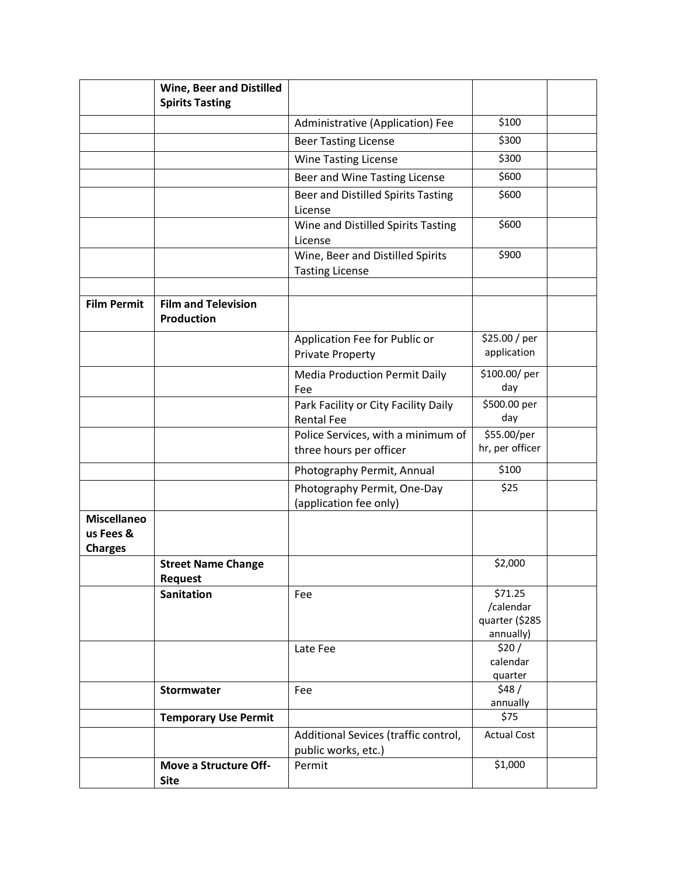|                                                   | <b>Wine, Beer and Distilled</b>                 |                                                               |                                                     |  |
|---------------------------------------------------|-------------------------------------------------|---------------------------------------------------------------|-----------------------------------------------------|--|
|                                                   | <b>Spirits Tasting</b>                          |                                                               |                                                     |  |
|                                                   |                                                 | Administrative (Application) Fee                              | \$100                                               |  |
|                                                   |                                                 | <b>Beer Tasting License</b>                                   | \$300                                               |  |
|                                                   |                                                 | Wine Tasting License                                          | \$300                                               |  |
|                                                   |                                                 | Beer and Wine Tasting License                                 | \$600                                               |  |
|                                                   |                                                 | Beer and Distilled Spirits Tasting<br>License                 | \$600                                               |  |
|                                                   |                                                 | Wine and Distilled Spirits Tasting<br>License                 | \$600                                               |  |
|                                                   |                                                 | Wine, Beer and Distilled Spirits<br><b>Tasting License</b>    | \$900                                               |  |
| <b>Film Permit</b>                                | <b>Film and Television</b><br><b>Production</b> |                                                               |                                                     |  |
|                                                   |                                                 | Application Fee for Public or<br><b>Private Property</b>      | \$25.00 / per<br>application                        |  |
|                                                   |                                                 | <b>Media Production Permit Daily</b><br>Fee                   | \$100.00/per<br>day                                 |  |
|                                                   |                                                 | Park Facility or City Facility Daily<br><b>Rental Fee</b>     | \$500.00 per<br>day                                 |  |
|                                                   |                                                 | Police Services, with a minimum of<br>three hours per officer | \$55.00/per<br>hr, per officer                      |  |
|                                                   |                                                 | Photography Permit, Annual                                    | \$100                                               |  |
|                                                   |                                                 | Photography Permit, One-Day<br>(application fee only)         | \$25                                                |  |
| <b>Miscellaneo</b><br>us Fees &<br><b>Charges</b> |                                                 |                                                               |                                                     |  |
|                                                   | <b>Street Name Change</b><br><b>Request</b>     |                                                               | \$2,000                                             |  |
|                                                   | <b>Sanitation</b>                               | Fee                                                           | \$71.25<br>/calendar<br>quarter (\$285<br>annually) |  |
|                                                   |                                                 | Late Fee                                                      | \$20/<br>calendar<br>quarter                        |  |
|                                                   | Stormwater                                      | Fee                                                           | \$48/<br>annually                                   |  |
|                                                   | <b>Temporary Use Permit</b>                     |                                                               | \$75                                                |  |
|                                                   |                                                 | Additional Sevices (traffic control,<br>public works, etc.)   | <b>Actual Cost</b>                                  |  |
|                                                   | Move a Structure Off-<br><b>Site</b>            | Permit                                                        | \$1,000                                             |  |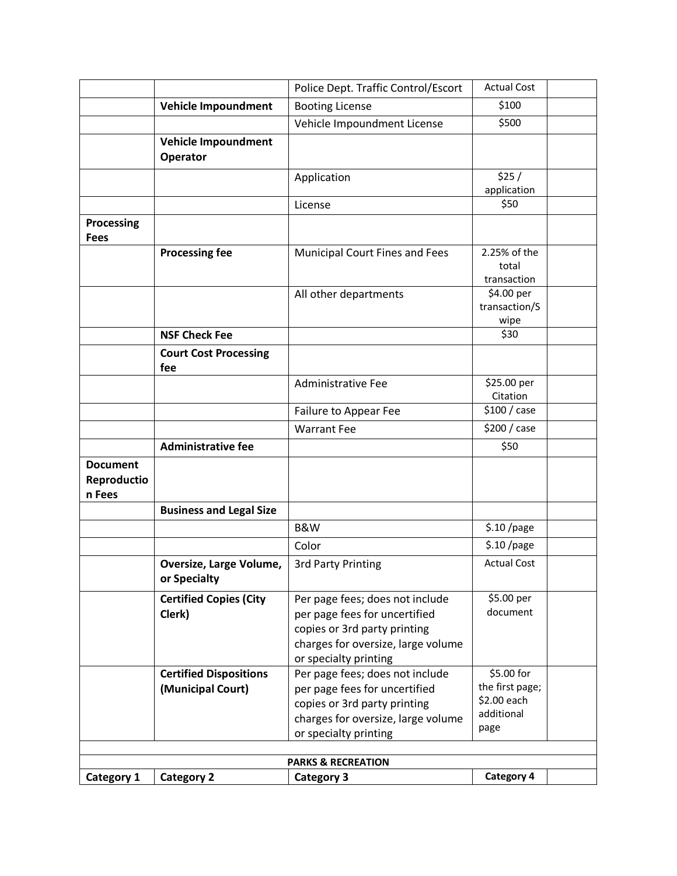|                                          |                                                    | Police Dept. Traffic Control/Escort                                                                                                                             | <b>Actual Cost</b>                                                 |  |
|------------------------------------------|----------------------------------------------------|-----------------------------------------------------------------------------------------------------------------------------------------------------------------|--------------------------------------------------------------------|--|
|                                          | <b>Vehicle Impoundment</b>                         | <b>Booting License</b>                                                                                                                                          | \$100                                                              |  |
|                                          |                                                    | Vehicle Impoundment License                                                                                                                                     | \$500                                                              |  |
|                                          | Vehicle Impoundment<br>Operator                    |                                                                                                                                                                 |                                                                    |  |
|                                          |                                                    | Application                                                                                                                                                     | \$25/<br>application                                               |  |
|                                          |                                                    | License                                                                                                                                                         | \$50                                                               |  |
| <b>Processing</b><br><b>Fees</b>         |                                                    |                                                                                                                                                                 |                                                                    |  |
|                                          | <b>Processing fee</b>                              | <b>Municipal Court Fines and Fees</b>                                                                                                                           | 2.25% of the<br>total<br>transaction                               |  |
|                                          |                                                    | All other departments                                                                                                                                           | \$4.00 per<br>transaction/S<br>wipe                                |  |
|                                          | <b>NSF Check Fee</b>                               |                                                                                                                                                                 | \$30                                                               |  |
|                                          | <b>Court Cost Processing</b><br>fee                |                                                                                                                                                                 |                                                                    |  |
|                                          |                                                    | <b>Administrative Fee</b>                                                                                                                                       | \$25.00 per<br>Citation                                            |  |
|                                          |                                                    | Failure to Appear Fee                                                                                                                                           | \$100 / case                                                       |  |
|                                          |                                                    | <b>Warrant Fee</b>                                                                                                                                              | \$200 / case                                                       |  |
|                                          | <b>Administrative fee</b>                          |                                                                                                                                                                 | \$50                                                               |  |
| <b>Document</b><br>Reproductio<br>n Fees |                                                    |                                                                                                                                                                 |                                                                    |  |
|                                          | <b>Business and Legal Size</b>                     |                                                                                                                                                                 |                                                                    |  |
|                                          |                                                    | <b>B&amp;W</b>                                                                                                                                                  | $$.10$ /page                                                       |  |
|                                          |                                                    | Color                                                                                                                                                           | $$.10$ /page                                                       |  |
|                                          | Oversize, Large Volume,<br>or Specialty            | <b>3rd Party Printing</b>                                                                                                                                       | <b>Actual Cost</b>                                                 |  |
|                                          | <b>Certified Copies (City</b><br>Clerk)            | Per page fees; does not include<br>per page fees for uncertified<br>copies or 3rd party printing<br>charges for oversize, large volume<br>or specialty printing | \$5.00 per<br>document                                             |  |
|                                          | <b>Certified Dispositions</b><br>(Municipal Court) | Per page fees; does not include<br>per page fees for uncertified<br>copies or 3rd party printing<br>charges for oversize, large volume<br>or specialty printing | \$5.00 for<br>the first page;<br>\$2.00 each<br>additional<br>page |  |
|                                          |                                                    | <b>PARKS &amp; RECREATION</b>                                                                                                                                   |                                                                    |  |
| Category 1                               | <b>Category 2</b>                                  | <b>Category 3</b>                                                                                                                                               | Category 4                                                         |  |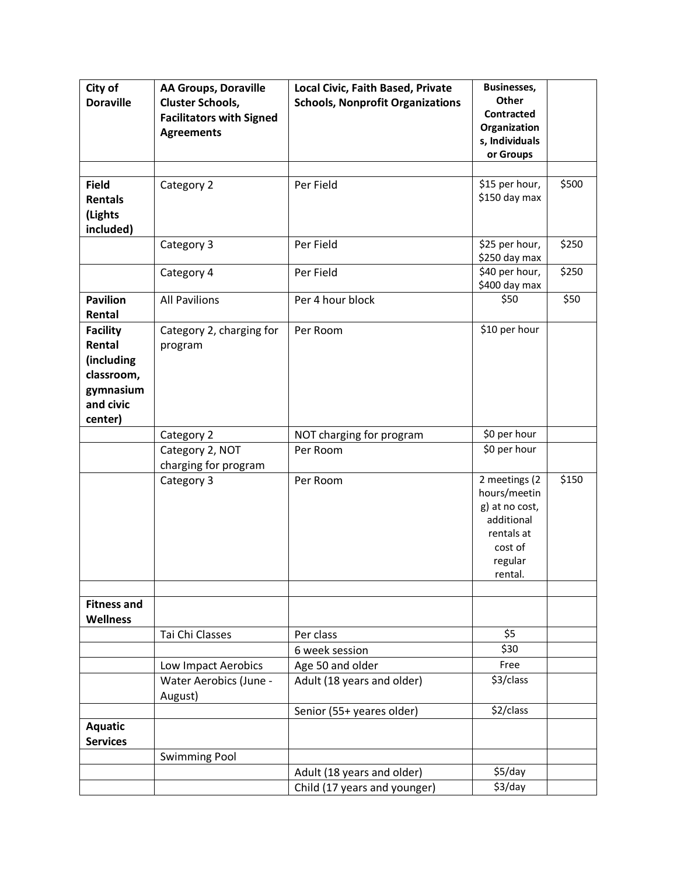| City of            | <b>AA Groups, Doraville</b>     | Local Civic, Faith Based, Private       | <b>Businesses,</b> |       |
|--------------------|---------------------------------|-----------------------------------------|--------------------|-------|
| <b>Doraville</b>   | <b>Cluster Schools,</b>         | <b>Schools, Nonprofit Organizations</b> | Other              |       |
|                    | <b>Facilitators with Signed</b> |                                         | Contracted         |       |
|                    | <b>Agreements</b>               |                                         | Organization       |       |
|                    |                                 |                                         | s, Individuals     |       |
|                    |                                 |                                         | or Groups          |       |
|                    |                                 |                                         |                    |       |
| <b>Field</b>       | Category 2                      | Per Field                               | \$15 per hour,     | \$500 |
| <b>Rentals</b>     |                                 |                                         | \$150 day max      |       |
| (Lights            |                                 |                                         |                    |       |
| included)          |                                 |                                         |                    |       |
|                    | Category 3                      | Per Field                               | \$25 per hour,     | \$250 |
|                    |                                 |                                         | \$250 day max      |       |
|                    | Category 4                      | Per Field                               | \$40 per hour,     | \$250 |
|                    |                                 |                                         | \$400 day max      |       |
| <b>Pavilion</b>    | <b>All Pavilions</b>            | Per 4 hour block                        | \$50               | \$50  |
| Rental             |                                 |                                         |                    |       |
| <b>Facility</b>    | Category 2, charging for        | Per Room                                | \$10 per hour      |       |
| Rental             | program                         |                                         |                    |       |
| (including         |                                 |                                         |                    |       |
| classroom,         |                                 |                                         |                    |       |
| gymnasium          |                                 |                                         |                    |       |
| and civic          |                                 |                                         |                    |       |
| center)            |                                 |                                         |                    |       |
|                    | Category 2                      | NOT charging for program                | \$0 per hour       |       |
|                    | Category 2, NOT                 | Per Room                                | \$0 per hour       |       |
|                    | charging for program            |                                         |                    |       |
|                    | Category 3                      | Per Room                                | 2 meetings (2      | \$150 |
|                    |                                 |                                         | hours/meetin       |       |
|                    |                                 |                                         | g) at no cost,     |       |
|                    |                                 |                                         | additional         |       |
|                    |                                 |                                         | rentals at         |       |
|                    |                                 |                                         | cost of            |       |
|                    |                                 |                                         | regular<br>rental. |       |
|                    |                                 |                                         |                    |       |
| <b>Fitness and</b> |                                 |                                         |                    |       |
| <b>Wellness</b>    |                                 |                                         |                    |       |
|                    | Tai Chi Classes                 | Per class                               | \$5                |       |
|                    |                                 | 6 week session                          | \$30               |       |
|                    | Low Impact Aerobics             | Age 50 and older                        | Free               |       |
|                    | Water Aerobics (June -          | Adult (18 years and older)              | \$3/class          |       |
|                    |                                 |                                         |                    |       |
|                    | August)                         | Senior (55+ yeares older)               | \$2/class          |       |
|                    |                                 |                                         |                    |       |
| <b>Aquatic</b>     |                                 |                                         |                    |       |
| <b>Services</b>    |                                 |                                         |                    |       |
|                    | <b>Swimming Pool</b>            |                                         |                    |       |
|                    |                                 | Adult (18 years and older)              | \$5/day            |       |
|                    |                                 | Child (17 years and younger)            | \$3/day            |       |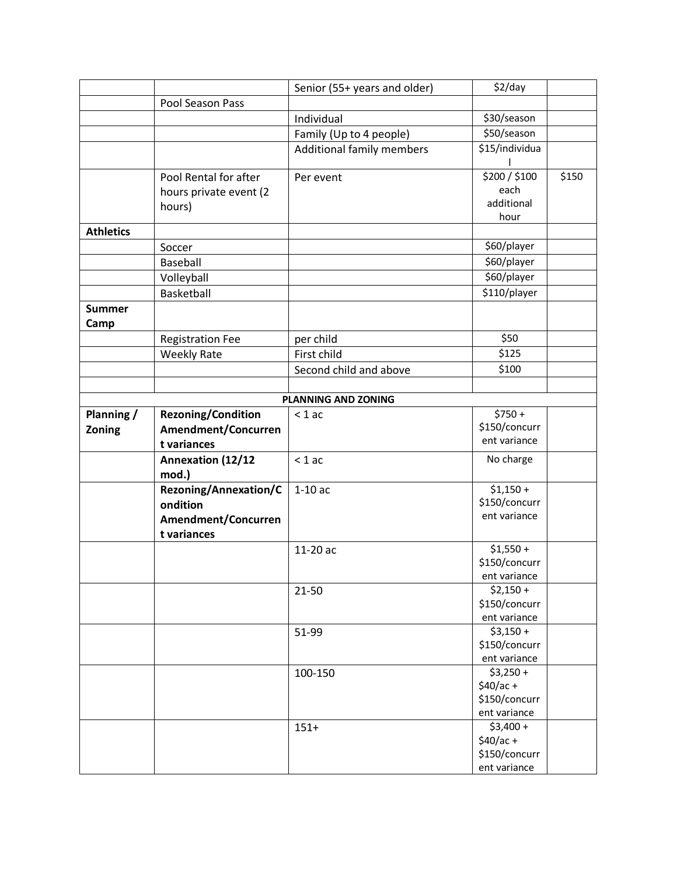|                  |                           | Senior (55+ years and older) | $$2$ /day               |       |
|------------------|---------------------------|------------------------------|-------------------------|-------|
|                  | Pool Season Pass          |                              |                         |       |
|                  |                           | Individual                   | \$30/season             |       |
|                  |                           | Family (Up to 4 people)      | \$50/season             |       |
|                  |                           | Additional family members    | \$15/individua          |       |
|                  |                           |                              |                         |       |
|                  | Pool Rental for after     | Per event                    | \$200 / \$100           | \$150 |
|                  | hours private event (2    |                              | each                    |       |
|                  | hours)                    |                              | additional              |       |
|                  |                           |                              | hour                    |       |
| <b>Athletics</b> |                           |                              |                         |       |
|                  | Soccer                    |                              | \$60/player             |       |
|                  | Baseball                  |                              | \$60/player             |       |
|                  | Volleyball                |                              | \$60/player             |       |
|                  | Basketball                |                              | \$110/player            |       |
| <b>Summer</b>    |                           |                              |                         |       |
| Camp             |                           |                              |                         |       |
|                  | <b>Registration Fee</b>   | per child                    | \$50                    |       |
|                  | <b>Weekly Rate</b>        | First child                  | \$125                   |       |
|                  |                           | Second child and above       | \$100                   |       |
|                  |                           |                              |                         |       |
|                  |                           | PLANNING AND ZONING          |                         |       |
| Planning /       | <b>Rezoning/Condition</b> | $< 1$ ac                     | $$750 +$                |       |
| Zoning           | Amendment/Concurren       |                              | \$150/concurr           |       |
|                  | t variances               |                              | ent variance            |       |
|                  | <b>Annexation (12/12</b>  | $< 1$ ac                     | No charge               |       |
|                  | mod.)                     |                              |                         |       |
|                  | Rezoning/Annexation/C     | $1-10ac$                     | $$1,150+$               |       |
|                  | ondition                  |                              | \$150/concurr           |       |
|                  | Amendment/Concurren       |                              | ent variance            |       |
|                  | t variances               |                              |                         |       |
|                  |                           | 11-20 ac                     | $$1,550 +$              |       |
|                  |                           |                              | \$150/concurr           |       |
|                  |                           |                              | ent variance            |       |
|                  |                           | 21-50                        | $$2,150+$               |       |
|                  |                           |                              | \$150/concurr           |       |
|                  |                           |                              | ent variance            |       |
|                  |                           | 51-99                        | $$3,150+$               |       |
|                  |                           |                              | \$150/concurr           |       |
|                  |                           |                              | ent variance            |       |
|                  |                           | 100-150                      | $$3,250+$<br>$$40/ac +$ |       |
|                  |                           |                              | \$150/concurr           |       |
|                  |                           |                              | ent variance            |       |
|                  |                           | $151+$                       | $$3,400 +$              |       |
|                  |                           |                              | $$40/ac +$              |       |
|                  |                           |                              | \$150/concurr           |       |
|                  |                           |                              | ent variance            |       |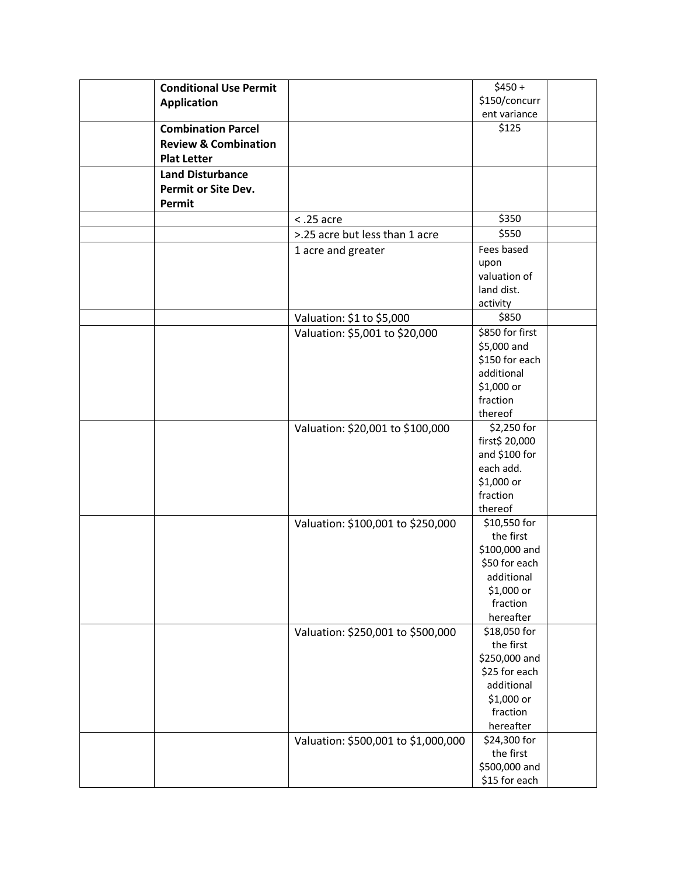| <b>Conditional Use Permit</b>   |                                     | $$450 +$               |
|---------------------------------|-------------------------------------|------------------------|
| <b>Application</b>              |                                     | \$150/concurr          |
|                                 |                                     | ent variance           |
| <b>Combination Parcel</b>       |                                     | \$125                  |
| <b>Review &amp; Combination</b> |                                     |                        |
| <b>Plat Letter</b>              |                                     |                        |
| <b>Land Disturbance</b>         |                                     |                        |
| Permit or Site Dev.             |                                     |                        |
| Permit                          |                                     |                        |
|                                 | $<$ .25 acre                        | \$350                  |
|                                 | >.25 acre but less than 1 acre      |                        |
|                                 |                                     | \$550                  |
|                                 | 1 acre and greater                  | Fees based             |
|                                 |                                     | upon<br>valuation of   |
|                                 |                                     | land dist.             |
|                                 |                                     | activity               |
|                                 | Valuation: \$1 to \$5,000           | \$850                  |
|                                 | Valuation: \$5,001 to \$20,000      | \$850 for first        |
|                                 |                                     | \$5,000 and            |
|                                 |                                     | \$150 for each         |
|                                 |                                     | additional             |
|                                 |                                     | \$1,000 or             |
|                                 |                                     | fraction               |
|                                 |                                     | thereof                |
|                                 | Valuation: \$20,001 to \$100,000    | \$2,250 for            |
|                                 |                                     | first\$ 20,000         |
|                                 |                                     | and \$100 for          |
|                                 |                                     | each add.              |
|                                 |                                     | \$1,000 or             |
|                                 |                                     | fraction               |
|                                 |                                     | thereof                |
|                                 | Valuation: \$100,001 to \$250,000   | \$10,550 for           |
|                                 |                                     | the first              |
|                                 |                                     | \$100,000 and          |
|                                 |                                     | \$50 for each          |
|                                 |                                     | additional             |
|                                 |                                     | \$1,000 or<br>fraction |
|                                 |                                     | hereafter              |
|                                 | Valuation: \$250,001 to \$500,000   | \$18,050 for           |
|                                 |                                     | the first              |
|                                 |                                     | \$250,000 and          |
|                                 |                                     | \$25 for each          |
|                                 |                                     | additional             |
|                                 |                                     | \$1,000 or             |
|                                 |                                     | fraction               |
|                                 |                                     | hereafter              |
|                                 | Valuation: \$500,001 to \$1,000,000 | \$24,300 for           |
|                                 |                                     | the first              |
|                                 |                                     | \$500,000 and          |
|                                 |                                     | \$15 for each          |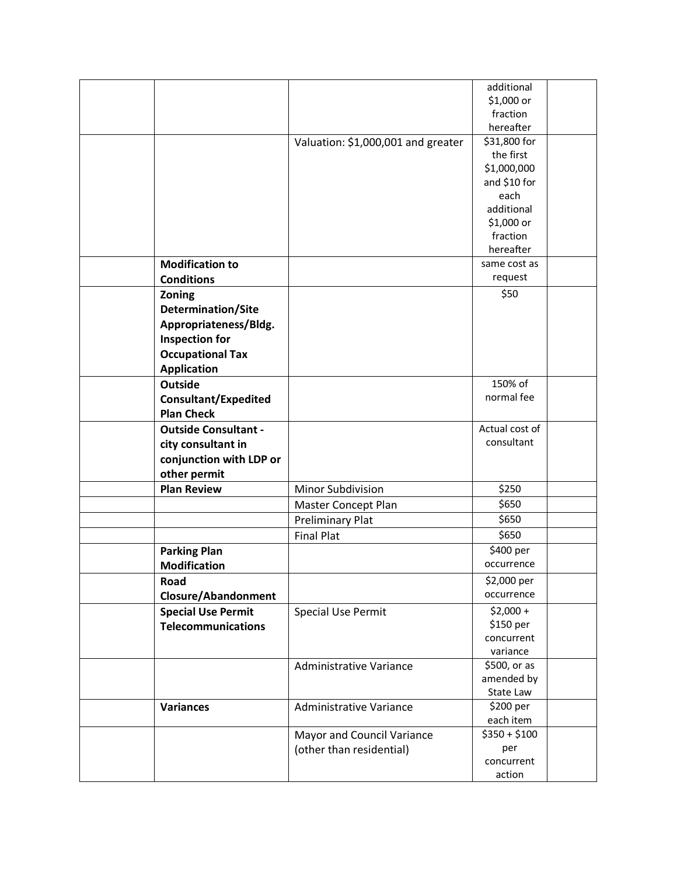|                             |                                    | additional     |
|-----------------------------|------------------------------------|----------------|
|                             |                                    | \$1,000 or     |
|                             |                                    | fraction       |
|                             |                                    | hereafter      |
|                             | Valuation: \$1,000,001 and greater | \$31,800 for   |
|                             |                                    | the first      |
|                             |                                    | \$1,000,000    |
|                             |                                    | and \$10 for   |
|                             |                                    | each           |
|                             |                                    | additional     |
|                             |                                    | \$1,000 or     |
|                             |                                    | fraction       |
|                             |                                    | hereafter      |
| <b>Modification to</b>      |                                    | same cost as   |
| <b>Conditions</b>           |                                    | request        |
| Zoning                      |                                    | \$50           |
| <b>Determination/Site</b>   |                                    |                |
|                             |                                    |                |
| Appropriateness/Bldg.       |                                    |                |
| <b>Inspection for</b>       |                                    |                |
| <b>Occupational Tax</b>     |                                    |                |
| <b>Application</b>          |                                    |                |
| <b>Outside</b>              |                                    | 150% of        |
| <b>Consultant/Expedited</b> |                                    | normal fee     |
| <b>Plan Check</b>           |                                    |                |
| <b>Outside Consultant -</b> |                                    | Actual cost of |
| city consultant in          |                                    | consultant     |
| conjunction with LDP or     |                                    |                |
| other permit                |                                    |                |
|                             |                                    | \$250          |
| <b>Plan Review</b>          | Minor Subdivision                  |                |
|                             | Master Concept Plan                | \$650          |
|                             | <b>Preliminary Plat</b>            | \$650          |
|                             | <b>Final Plat</b>                  | \$650          |
| <b>Parking Plan</b>         |                                    | \$400 per      |
| <b>Modification</b>         |                                    | occurrence     |
| Road                        |                                    | \$2,000 per    |
| Closure/Abandonment         |                                    | occurrence     |
| <b>Special Use Permit</b>   | <b>Special Use Permit</b>          | $$2,000 +$     |
| <b>Telecommunications</b>   |                                    | \$150 per      |
|                             |                                    | concurrent     |
|                             |                                    | variance       |
|                             | Administrative Variance            | \$500, or as   |
|                             |                                    | amended by     |
|                             |                                    | State Law      |
| <b>Variances</b>            | <b>Administrative Variance</b>     | \$200 per      |
|                             |                                    | each item      |
|                             | Mayor and Council Variance         | $$350 + $100$  |
|                             | (other than residential)           | per            |
|                             |                                    | concurrent     |
|                             |                                    | action         |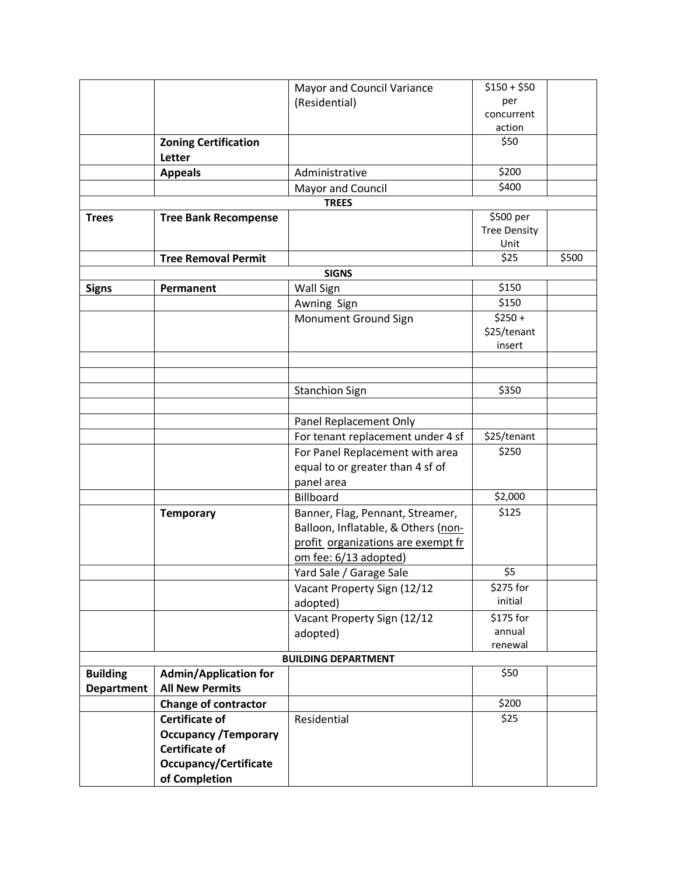|                   |                              | Mayor and Council Variance          | $$150 + $50$        |       |
|-------------------|------------------------------|-------------------------------------|---------------------|-------|
|                   |                              | (Residential)                       | per                 |       |
|                   |                              |                                     | concurrent          |       |
|                   |                              |                                     | action              |       |
|                   | <b>Zoning Certification</b>  |                                     | \$50                |       |
|                   | Letter                       |                                     |                     |       |
|                   | <b>Appeals</b>               | Administrative                      | \$200               |       |
|                   |                              | Mayor and Council                   | \$400               |       |
|                   |                              | <b>TREES</b>                        |                     |       |
| <b>Trees</b>      | <b>Tree Bank Recompense</b>  |                                     | \$500 per           |       |
|                   |                              |                                     | <b>Tree Density</b> |       |
|                   |                              |                                     | Unit                |       |
|                   | <b>Tree Removal Permit</b>   |                                     | \$25                | \$500 |
|                   |                              | <b>SIGNS</b>                        |                     |       |
| <b>Signs</b>      | Permanent                    | Wall Sign                           | \$150               |       |
|                   |                              | Awning Sign                         | \$150               |       |
|                   |                              | Monument Ground Sign                | $$250 +$            |       |
|                   |                              |                                     | \$25/tenant         |       |
|                   |                              |                                     | insert              |       |
|                   |                              |                                     |                     |       |
|                   |                              |                                     |                     |       |
|                   |                              | <b>Stanchion Sign</b>               | \$350               |       |
|                   |                              |                                     |                     |       |
|                   |                              | Panel Replacement Only              |                     |       |
|                   |                              | For tenant replacement under 4 sf   | \$25/tenant         |       |
|                   |                              | For Panel Replacement with area     | \$250               |       |
|                   |                              | equal to or greater than 4 sf of    |                     |       |
|                   |                              | panel area                          |                     |       |
|                   |                              | Billboard                           | \$2,000             |       |
|                   | <b>Temporary</b>             | Banner, Flag, Pennant, Streamer,    | \$125               |       |
|                   |                              | Balloon, Inflatable, & Others (non- |                     |       |
|                   |                              | profit organizations are exempt fr  |                     |       |
|                   |                              | om fee: 6/13 adopted)               |                     |       |
|                   |                              | Yard Sale / Garage Sale             | \$5                 |       |
|                   |                              | Vacant Property Sign (12/12         | \$275 for           |       |
|                   |                              | adopted)                            | initial             |       |
|                   |                              | Vacant Property Sign (12/12         | \$175 for           |       |
|                   |                              | adopted)                            | annual              |       |
|                   |                              |                                     | renewal             |       |
|                   |                              | <b>BUILDING DEPARTMENT</b>          |                     |       |
| <b>Building</b>   | <b>Admin/Application for</b> |                                     | \$50                |       |
| <b>Department</b> | <b>All New Permits</b>       |                                     |                     |       |
|                   | <b>Change of contractor</b>  |                                     | \$200               |       |
|                   | <b>Certificate of</b>        | Residential                         | \$25                |       |
|                   | <b>Occupancy / Temporary</b> |                                     |                     |       |
|                   | <b>Certificate of</b>        |                                     |                     |       |
|                   | <b>Occupancy/Certificate</b> |                                     |                     |       |
|                   | of Completion                |                                     |                     |       |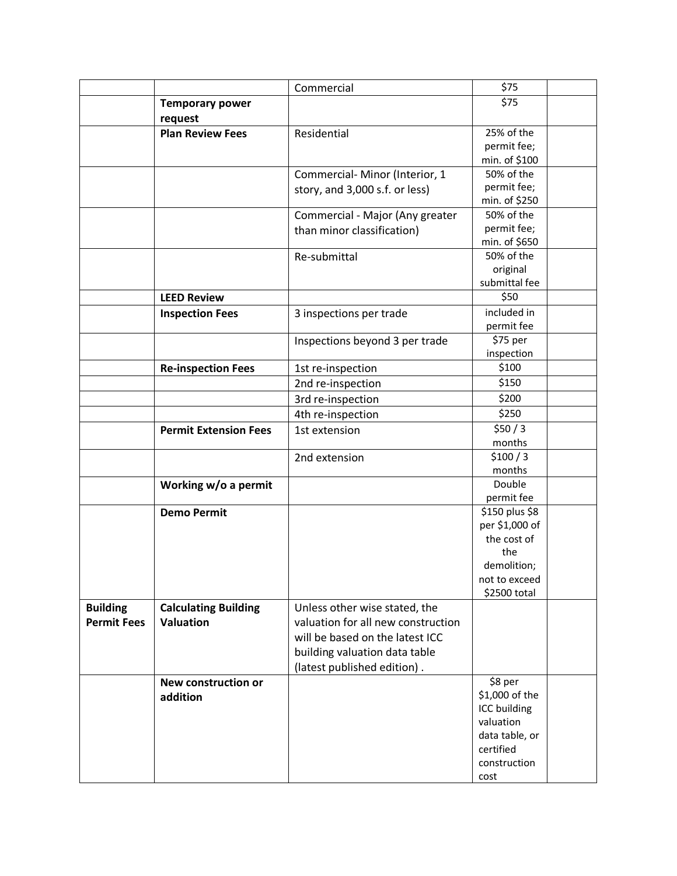|                    |                              | Commercial                         | \$75                             |  |
|--------------------|------------------------------|------------------------------------|----------------------------------|--|
|                    | <b>Temporary power</b>       |                                    | \$75                             |  |
|                    | request                      |                                    |                                  |  |
|                    | <b>Plan Review Fees</b>      | Residential                        | 25% of the                       |  |
|                    |                              |                                    | permit fee;                      |  |
|                    |                              |                                    | min. of \$100                    |  |
|                    |                              | Commercial-Minor (Interior, 1      | 50% of the                       |  |
|                    |                              | story, and 3,000 s.f. or less)     | permit fee;                      |  |
|                    |                              |                                    | min. of \$250                    |  |
|                    |                              | Commercial - Major (Any greater    | 50% of the                       |  |
|                    |                              | than minor classification)         | permit fee;                      |  |
|                    |                              |                                    | min. of \$650                    |  |
|                    |                              | Re-submittal                       | 50% of the                       |  |
|                    |                              |                                    | original                         |  |
|                    |                              |                                    | submittal fee                    |  |
|                    | <b>LEED Review</b>           |                                    | \$50                             |  |
|                    | <b>Inspection Fees</b>       | 3 inspections per trade            | included in                      |  |
|                    |                              |                                    | permit fee                       |  |
|                    |                              | Inspections beyond 3 per trade     | \$75 per                         |  |
|                    |                              |                                    | inspection                       |  |
|                    | <b>Re-inspection Fees</b>    | 1st re-inspection                  | \$100                            |  |
|                    |                              | 2nd re-inspection                  | \$150                            |  |
|                    |                              | 3rd re-inspection                  | \$200                            |  |
|                    |                              | 4th re-inspection                  | \$250                            |  |
|                    | <b>Permit Extension Fees</b> | 1st extension                      | \$50/3                           |  |
|                    |                              |                                    | months                           |  |
|                    |                              | 2nd extension                      | \$100/3                          |  |
|                    |                              |                                    | months                           |  |
|                    | Working w/o a permit         |                                    | Double                           |  |
|                    |                              |                                    | permit fee                       |  |
|                    | <b>Demo Permit</b>           |                                    | \$150 plus \$8<br>per \$1,000 of |  |
|                    |                              |                                    | the cost of                      |  |
|                    |                              |                                    | the                              |  |
|                    |                              |                                    | demolition;                      |  |
|                    |                              |                                    | not to exceed                    |  |
|                    |                              |                                    | \$2500 total                     |  |
| <b>Building</b>    | <b>Calculating Building</b>  | Unless other wise stated, the      |                                  |  |
| <b>Permit Fees</b> | <b>Valuation</b>             | valuation for all new construction |                                  |  |
|                    |                              | will be based on the latest ICC    |                                  |  |
|                    |                              | building valuation data table      |                                  |  |
|                    |                              | (latest published edition).        |                                  |  |
|                    | New construction or          |                                    | \$8 per                          |  |
|                    | addition                     |                                    | \$1,000 of the                   |  |
|                    |                              |                                    | ICC building                     |  |
|                    |                              |                                    | valuation                        |  |
|                    |                              |                                    | data table, or                   |  |
|                    |                              |                                    | certified                        |  |
|                    |                              |                                    | construction                     |  |
|                    |                              |                                    | cost                             |  |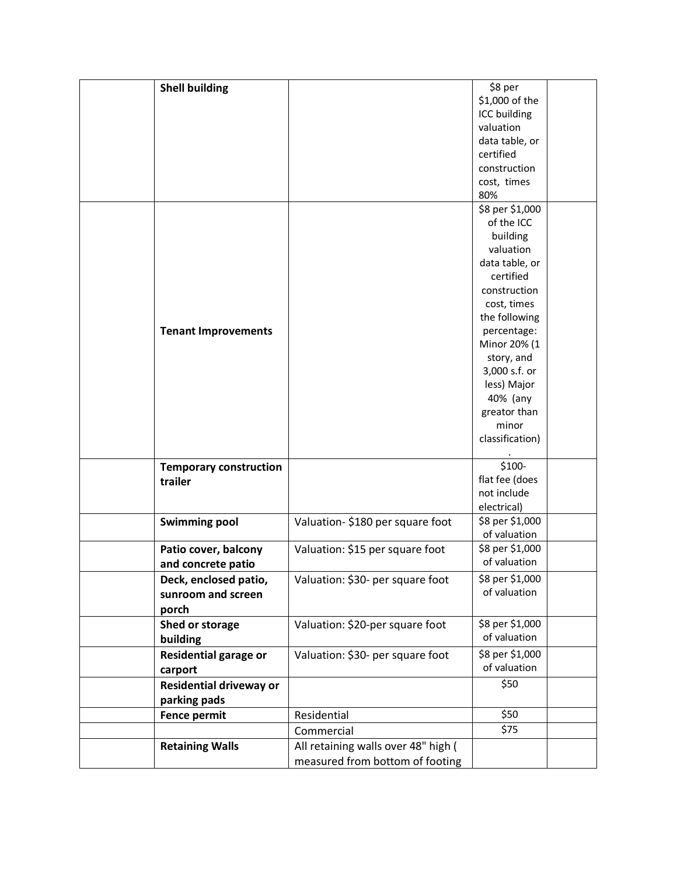| <b>Shell building</b>          |                                     | \$8 per         |  |
|--------------------------------|-------------------------------------|-----------------|--|
|                                |                                     | \$1,000 of the  |  |
|                                |                                     | ICC building    |  |
|                                |                                     | valuation       |  |
|                                |                                     | data table, or  |  |
|                                |                                     | certified       |  |
|                                |                                     | construction    |  |
|                                |                                     | cost, times     |  |
|                                |                                     | 80%             |  |
|                                |                                     | \$8 per \$1,000 |  |
|                                |                                     | of the ICC      |  |
|                                |                                     | building        |  |
|                                |                                     | valuation       |  |
|                                |                                     | data table, or  |  |
|                                |                                     | certified       |  |
|                                |                                     | construction    |  |
|                                |                                     | cost, times     |  |
|                                |                                     |                 |  |
|                                |                                     | the following   |  |
| <b>Tenant Improvements</b>     |                                     | percentage:     |  |
|                                |                                     | Minor 20% (1    |  |
|                                |                                     | story, and      |  |
|                                |                                     | 3,000 s.f. or   |  |
|                                |                                     | less) Major     |  |
|                                |                                     | 40% (any        |  |
|                                |                                     | greator than    |  |
|                                |                                     | minor           |  |
|                                |                                     | classification) |  |
|                                |                                     |                 |  |
| <b>Temporary construction</b>  |                                     | \$100-          |  |
| trailer                        |                                     | flat fee (does  |  |
|                                |                                     | not include     |  |
|                                |                                     | electrical)     |  |
| <b>Swimming pool</b>           | Valuation-\$180 per square foot     | \$8 per \$1,000 |  |
|                                |                                     | of valuation    |  |
| Patio cover, balcony           | Valuation: \$15 per square foot     | \$8 per \$1,000 |  |
| and concrete patio             |                                     | of valuation    |  |
|                                |                                     | \$8 per \$1,000 |  |
| Deck, enclosed patio,          | Valuation: \$30- per square foot    | of valuation    |  |
| sunroom and screen             |                                     |                 |  |
| porch                          |                                     |                 |  |
| Shed or storage                | Valuation: \$20-per square foot     | \$8 per \$1,000 |  |
| building                       |                                     | of valuation    |  |
| <b>Residential garage or</b>   | Valuation: \$30- per square foot    | \$8 per \$1,000 |  |
| carport                        |                                     | of valuation    |  |
| <b>Residential driveway or</b> |                                     | \$50            |  |
|                                |                                     |                 |  |
| parking pads                   |                                     |                 |  |
| <b>Fence permit</b>            | Residential                         | \$50            |  |
|                                | Commercial                          | \$75            |  |
| <b>Retaining Walls</b>         | All retaining walls over 48" high ( |                 |  |
|                                | measured from bottom of footing     |                 |  |